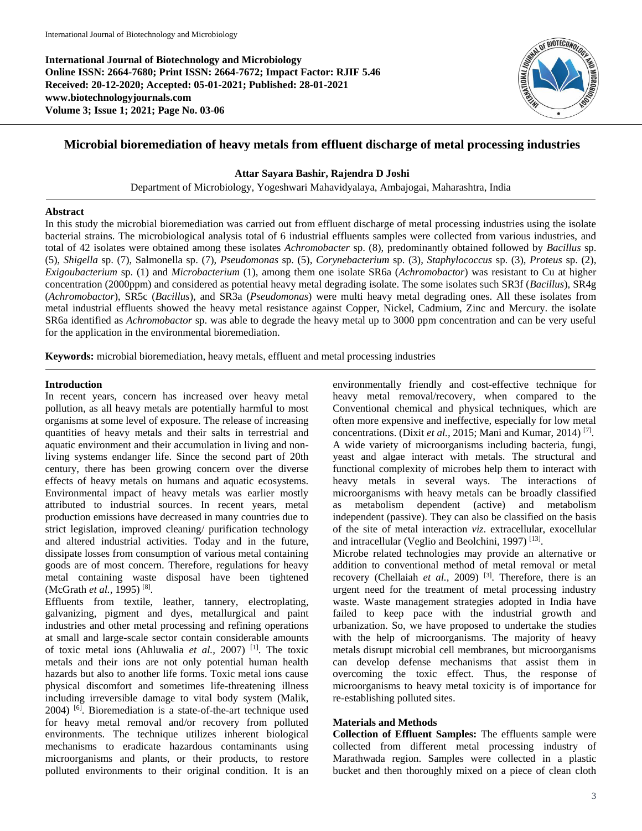**International Journal of Biotechnology and Microbiology Online ISSN: 2664-7680; Print ISSN: 2664-7672; Impact Factor: RJIF 5.46 Received: 20-12-2020; Accepted: 05-01-2021; Published: 28-01-2021 www.biotechnologyjournals.com Volume 3; Issue 1; 2021; Page No. 03-06**



# **Microbial bioremediation of heavy metals from effluent discharge of metal processing industries**

**Attar Sayara Bashir, Rajendra D Joshi**

Department of Microbiology, Yogeshwari Mahavidyalaya, Ambajogai, Maharashtra, India

#### **Abstract**

In this study the microbial bioremediation was carried out from effluent discharge of metal processing industries using the isolate bacterial strains. The microbiological analysis total of 6 industrial effluents samples were collected from various industries, and total of 42 isolates were obtained among these isolates *Achromobacter* sp. (8), predominantly obtained followed by *Bacillus* sp. (5), *Shigella* sp. (7), Salmonella sp. (7), *Pseudomonas* sp. (5), *Corynebacterium* sp. (3), *Staphylococcus* sp. (3), *Proteus* sp. (2), *Exigoubacterium* sp. (1) and *Microbacterium* (1), among them one isolate SR6a (*Achromobactor*) was resistant to Cu at higher concentration (2000ppm) and considered as potential heavy metal degrading isolate. The some isolates such SR3f (*Bacillus*), SR4g (*Achromobactor*), SR5c (*Bacillus*), and SR3a (*Pseudomonas*) were multi heavy metal degrading ones. All these isolates from metal industrial effluents showed the heavy metal resistance against Copper, Nickel, Cadmium, Zinc and Mercury. the isolate SR6a identified as *Achromobactor* sp. was able to degrade the heavy metal up to 3000 ppm concentration and can be very useful for the application in the environmental bioremediation.

**Keywords:** microbial bioremediation, heavy metals, effluent and metal processing industries

## **Introduction**

In recent years, concern has increased over heavy metal pollution, as all heavy metals are potentially harmful to most organisms at some level of exposure. The release of increasing quantities of heavy metals and their salts in terrestrial and aquatic environment and their accumulation in living and nonliving systems endanger life. Since the second part of 20th century, there has been growing concern over the diverse effects of heavy metals on humans and aquatic ecosystems. Environmental impact of heavy metals was earlier mostly attributed to industrial sources. In recent years, metal production emissions have decreased in many countries due to strict legislation, improved cleaning/ purification technology and altered industrial activities. Today and in the future, dissipate losses from consumption of various metal containing goods are of most concern. Therefore, regulations for heavy metal containing waste disposal have been tightened (McGrath *et al.*, 1995)<sup>[8]</sup>.

Effluents from textile, leather, tannery, electroplating, galvanizing, pigment and dyes, metallurgical and paint industries and other metal processing and refining operations at small and large-scale sector contain considerable amounts of toxic metal ions (Ahluwalia et al., 2007)<sup>[1]</sup>. The toxic metals and their ions are not only potential human health hazards but also to another life forms. Toxic metal ions cause physical discomfort and sometimes life-threatening illness including irreversible damage to vital body system (Malik, 2004) [6] . Bioremediation is a state-of-the-art technique used for heavy metal removal and/or recovery from polluted environments. The technique utilizes inherent biological mechanisms to eradicate hazardous contaminants using microorganisms and plants, or their products, to restore polluted environments to their original condition. It is an

environmentally friendly and cost-effective technique for heavy metal removal/recovery, when compared to the Conventional chemical and physical techniques, which are often more expensive and ineffective, especially for low metal concentrations. (Dixit *et al.,* 2015; Mani and Kumar, 2014) [7] . A wide variety of microorganisms including bacteria, fungi, yeast and algae interact with metals. The structural and functional complexity of microbes help them to interact with heavy metals in several ways. The interactions of microorganisms with heavy metals can be broadly classified as metabolism dependent (active) and metabolism independent (passive). They can also be classified on the basis of the site of metal interaction *viz*. extracellular, exocellular and intracellular (Veglio and Beolchini, 1997)<sup>[13]</sup>.

Microbe related technologies may provide an alternative or addition to conventional method of metal removal or metal recovery (Chellaiah *et al.*, 2009)<sup>[3]</sup>. Therefore, there is an urgent need for the treatment of metal processing industry waste. Waste management strategies adopted in India have failed to keep pace with the industrial growth and urbanization. So, we have proposed to undertake the studies with the help of microorganisms. The majority of heavy metals disrupt microbial cell membranes, but microorganisms can develop defense mechanisms that assist them in overcoming the toxic effect. Thus, the response of microorganisms to heavy metal toxicity is of importance for re-establishing polluted sites.

## **Materials and Methods**

**Collection of Effluent Samples:** The effluents sample were collected from different metal processing industry of Marathwada region. Samples were collected in a plastic bucket and then thoroughly mixed on a piece of clean cloth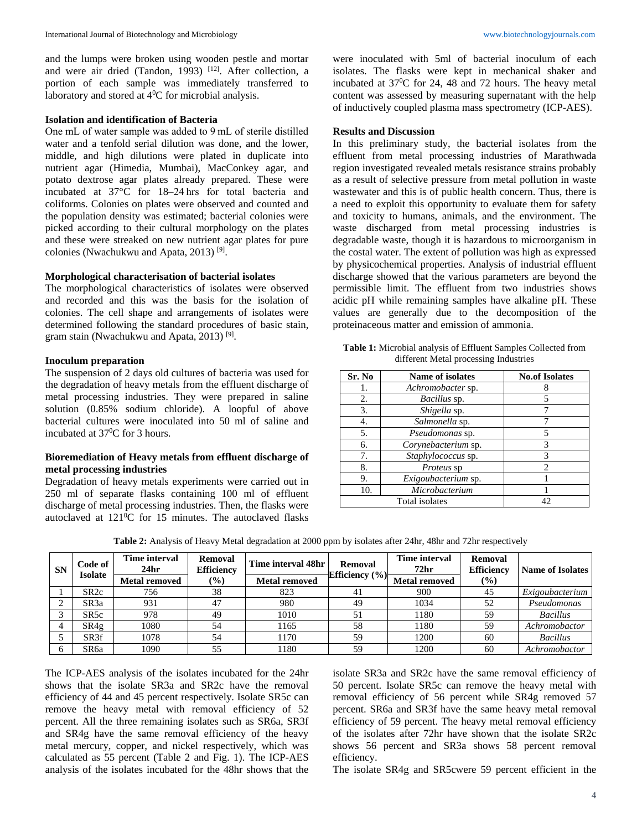and the lumps were broken using wooden pestle and mortar and were air dried (Tandon, 1993)<sup>[12]</sup>. After collection, a portion of each sample was immediately transferred to laboratory and stored at  $4^0C$  for microbial analysis.

#### **Isolation and identification of Bacteria**

One mL of water sample was added to 9 mL of sterile distilled water and a tenfold serial dilution was done, and the lower, middle, and high dilutions were plated in duplicate into nutrient agar (Himedia, Mumbai), MacConkey agar, and potato dextrose agar plates already prepared. These were incubated at 37°C for 18–24 hrs for total bacteria and coliforms. Colonies on plates were observed and counted and the population density was estimated; bacterial colonies were picked according to their cultural morphology on the plates and these were streaked on new nutrient agar plates for pure colonies (Nwachukwu and Apata, 2013)<sup>[9]</sup>.

#### **Morphological characterisation of bacterial isolates**

The morphological characteristics of isolates were observed and recorded and this was the basis for the isolation of colonies. The cell shape and arrangements of isolates were determined following the standard procedures of basic stain, gram stain (Nwachukwu and Apata, 2013)<sup>[9]</sup>.

## **Inoculum preparation**

The suspension of 2 days old cultures of bacteria was used for the degradation of heavy metals from the effluent discharge of metal processing industries. They were prepared in saline solution (0.85% sodium chloride). A loopful of above bacterial cultures were inoculated into 50 ml of saline and incubated at 37<sup>0</sup>C for 3 hours.

## **Bioremediation of Heavy metals from effluent discharge of metal processing industries**

Degradation of heavy metals experiments were carried out in 250 ml of separate flasks containing 100 ml of effluent discharge of metal processing industries. Then, the flasks were autoclaved at  $121\textdegree$ C for 15 minutes. The autoclaved flasks

were inoculated with 5ml of bacterial inoculum of each isolates. The flasks were kept in mechanical shaker and incubated at  $37^{\circ}$ C for 24, 48 and 72 hours. The heavy metal content was assessed by measuring supernatant with the help of inductively coupled plasma mass spectrometry (ICP-AES).

#### **Results and Discussion**

In this preliminary study, the bacterial isolates from the effluent from metal processing industries of Marathwada region investigated revealed metals resistance strains probably as a result of selective pressure from metal pollution in waste wastewater and this is of public health concern. Thus, there is a need to exploit this opportunity to evaluate them for safety and toxicity to humans, animals, and the environment. The waste discharged from metal processing industries is degradable waste, though it is hazardous to microorganism in the costal water. The extent of pollution was high as expressed by physicochemical properties. Analysis of industrial effluent discharge showed that the various parameters are beyond the permissible limit. The effluent from two industries shows acidic pH while remaining samples have alkaline pH. These values are generally due to the decomposition of the proteinaceous matter and emission of ammonia.

| Table 1: Microbial analysis of Effluent Samples Collected from |                                       |  |  |
|----------------------------------------------------------------|---------------------------------------|--|--|
|                                                                | different Metal processing Industries |  |  |

| Sr. No | Name of isolates    | <b>No.of Isolates</b> |  |
|--------|---------------------|-----------------------|--|
| 1.     | Achromobacter sp.   |                       |  |
| 2.     | Bacillus sp.        | 5                     |  |
| 3.     | Shigella sp.        |                       |  |
| 4.     | Salmonella sp.      |                       |  |
| 5.     | Pseudomonas sp.     | 5                     |  |
| 6.     | Corynebacterium sp. | 3                     |  |
| 7.     | Staphylococcus sp.  | 3                     |  |
| 8.     | Proteus sp          | 2                     |  |
| 9.     | Exigoubacterium sp. |                       |  |
| 10.    | Microbacterium      |                       |  |
|        | Total isolates      | LΓ                    |  |

**Table 2:** Analysis of Heavy Metal degradation at 2000 ppm by isolates after 24hr, 48hr and 72hr respectively

| <b>SN</b> | Code of           | <b>Time interval</b><br>24 <sub>hr</sub> | Removal<br><b>Efficiency</b> | Time interval 48hr<br>Removal |                    | <b>Time interval</b><br>72 <sub>hr</sub> | Removal<br><b>Efficiency</b> |                 |
|-----------|-------------------|------------------------------------------|------------------------------|-------------------------------|--------------------|------------------------------------------|------------------------------|-----------------|
|           | Isolate           | <b>Metal removed</b>                     | $\frac{1}{2}$                | <b>Metal removed</b>          | Efficiency $(\% )$ | <b>Metal removed</b>                     | $\frac{9}{6}$                |                 |
|           | SR <sub>2c</sub>  | 756                                      | 38                           | 823                           | 41                 | 900                                      | 45                           | Exigoubacterium |
|           | SR <sub>3</sub> a | 931                                      | 47                           | 980                           | 49                 | 1034                                     | 52                           | Pseudomonas     |
|           | SR5c              | 978                                      | 49                           | 1010                          | 51                 | 1180                                     | 59                           | <b>Bacillus</b> |
| 4         | SR4g              | 1080                                     | 54                           | 1165                          | 58                 | 1180                                     | 59                           | Achromobactor   |
|           | SR <sub>3f</sub>  | 1078                                     | 54                           | 1170                          | 59                 | 1200                                     | 60                           | <b>Bacillus</b> |
|           | SR6a              | 1090                                     | 55                           | 1180                          | 59                 | 1200                                     | 60                           | Achromobactor   |

The ICP-AES analysis of the isolates incubated for the 24hr shows that the isolate SR3a and SR2c have the removal efficiency of 44 and 45 percent respectively. Isolate SR5c can remove the heavy metal with removal efficiency of 52 percent. All the three remaining isolates such as SR6a, SR3f and SR4g have the same removal efficiency of the heavy metal mercury, copper, and nickel respectively, which was calculated as 55 percent (Table 2 and Fig. 1). The ICP-AES analysis of the isolates incubated for the 48hr shows that the isolate SR3a and SR2c have the same removal efficiency of 50 percent. Isolate SR5c can remove the heavy metal with removal efficiency of 56 percent while SR4g removed 57 percent. SR6a and SR3f have the same heavy metal removal efficiency of 59 percent. The heavy metal removal efficiency of the isolates after 72hr have shown that the isolate SR2c shows 56 percent and SR3a shows 58 percent removal efficiency.

The isolate SR4g and SR5cwere 59 percent efficient in the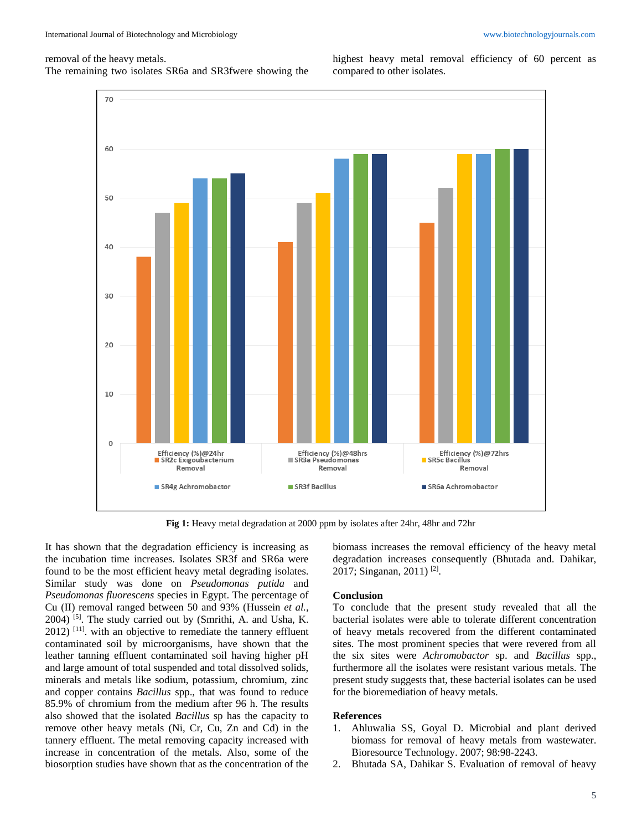#### removal of the heavy metals.

The remaining two isolates SR6a and SR3fwere showing the

highest heavy metal removal efficiency of 60 percent as compared to other isolates.



**Fig 1:** Heavy metal degradation at 2000 ppm by isolates after 24hr, 48hr and 72hr

It has shown that the degradation efficiency is increasing as the incubation time increases. Isolates SR3f and SR6a were found to be the most efficient heavy metal degrading isolates. Similar study was done on *Pseudomonas putida* and *Pseudomonas fluorescens* species in Egypt. The percentage of Cu (II) removal ranged between 50 and 93% (Hussein *et al.,* 2004) [5] . The study carried out by (Smrithi, A. and Usha, K. 2012)<sup>[11]</sup>. with an objective to remediate the tannery effluent contaminated soil by microorganisms, have shown that the leather tanning effluent contaminated soil having higher pH and large amount of total suspended and total dissolved solids, minerals and metals like sodium, potassium, chromium, zinc and copper contains *Bacillus* spp., that was found to reduce 85.9% of chromium from the medium after 96 h. The results also showed that the isolated *Bacillus* sp has the capacity to remove other heavy metals (Ni, Cr, Cu, Zn and Cd) in the tannery effluent. The metal removing capacity increased with increase in concentration of the metals. Also, some of the biosorption studies have shown that as the concentration of the

biomass increases the removal efficiency of the heavy metal degradation increases consequently (Bhutada and. Dahikar, 2017; Singanan, 2011)<sup>[2]</sup>.

### **Conclusion**

To conclude that the present study revealed that all the bacterial isolates were able to tolerate different concentration of heavy metals recovered from the different contaminated sites. The most prominent species that were revered from all the six sites were *Achromobactor* sp. and *Bacillus* spp., furthermore all the isolates were resistant various metals. The present study suggests that, these bacterial isolates can be used for the bioremediation of heavy metals.

## **References**

- 1. Ahluwalia SS, Goyal D. Microbial and plant derived biomass for removal of heavy metals from wastewater. Bioresource Technology. 2007; 98:98-2243.
- 2. Bhutada SA, Dahikar S. Evaluation of removal of heavy